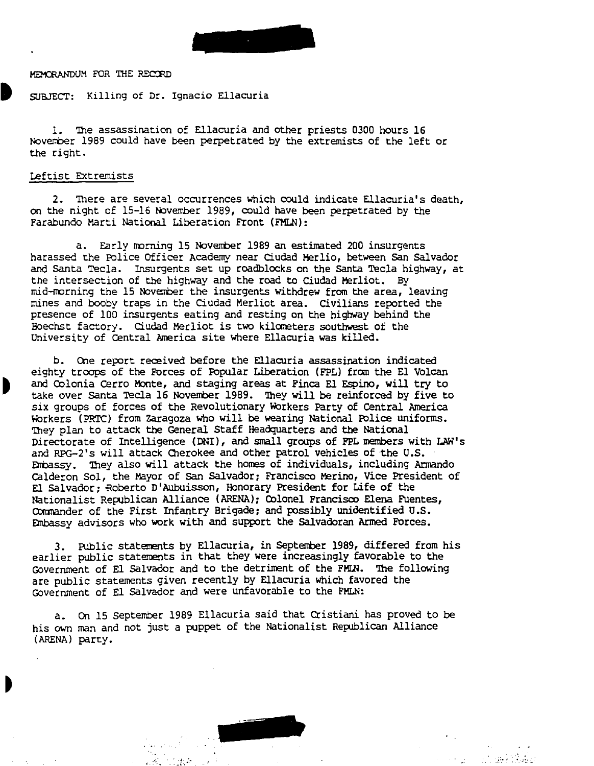

MEMORANDUM FOR THE RECORD

SUBJECT: Killing of Dr. Ignacio Ellacuria

1. 'The assassination of Ellacuria and other priests 0300 hours 16 November 1989 could have been perpetrated by the extremists of the left or the right.

## Leftist EXtremists

2. There are several occurrences which could indicate Ellacuria's death, on the night of 15-16 November 1989, could have been perpetrated by the Farabundo Marti National Liberation Front (FMLN):

a. Early morning 15 November 1989 an estimated 200 insurgents harassed the Police Officer Academy near Ciudad Merlio, between San Salvador and Santa Tecla. Insurgents set up roadblocks on the Santa Tecla highway, at the intersection of the highway and the road to Ciudad Merliot. By mid-morning the 15 November the insurgents withdrew from the area, leaving mines and booby traps in the Ciudad Merliot area. Civilians reported the presence of 100 insurgents eating and resting on the highway behind the Eoech.st factory. Ciudad Merliot is two kilcmeters southwest of the University of central America site where Ellacuria was killed.

b. One report received before the Ellacuria assassination indicated eighty troops of the Forces of Popular Liberation (FPL) from the El Volcan and Colonia cerro Monte, and staging areas at Finca E1 Espino, will try to take over Santa Tecla 16 November 1989. They will be reinforced by five to six groups of forces of the Revolutionary Workers Party of central America Workers (PRTC) from zaragoza who will be wearing National Police uniforms. They plan to attack the General Staff Headquarters and the National Directorate of Intelligence (DNI), and small groups of FPL members with LAW's and RPG-2's will attack Cherokee and other patrol vehicles of the U.S. Embassy. They also will attack the homes of individuals, including Armando calderon Sol, the Mayor of San salvador: Francisco Merino, Vice President of El Salvador; Roberto D'Aubuisson, Honorary President for Life of the Nationalist Republican Alliance (ARENA); Colonel Francisco Elena Fuentes, Commander of the First Infantry Brigade; and possibly unidentified U.S. Embassy advisors who work with and support the Salvadoran Armed Forces.

3. Public statements by Ellacuria, in September 1989, differed from his earlier public statements in that they were increasingly favorable to the Government of El salvador and to the detriment of the FMW. The following are public statements given recently by Ellacuria which favored the Government of El salvador and were unfavorable to the FMLN:

a. On 15 september 1989 Ellacuria said that Cristiani has proved to be his own man and not just a puppet of the Nationalist Republican Alliance (ARENA) party.

 $\sim$   $\sim$   $\sim$   $\sim$   $\sim$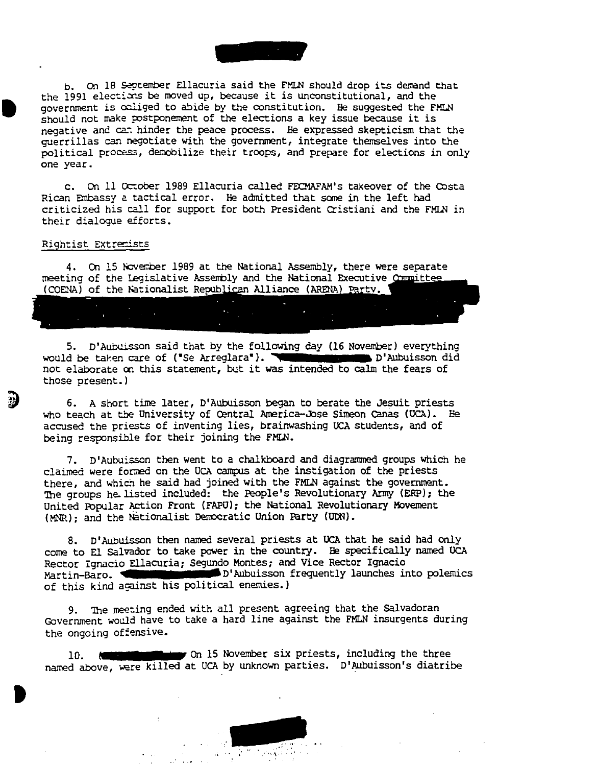$\begin{array}{c}\n\hline\n\text{t} \\
\hline\n\text{t} \\
\text{t} \\
\text{t} \\
\text{t}\n\end{array}$ b. On 18 September Ellacuria said the FMLN should drop its demand that the 1991 elections be moved up, because it is unconstitutional, and the government is caliged to abide by the constitution. He suggested the FMLN should not make postponement of the elections a key issue because it is negative and can hinder the peace process. He expressed skepticism that the guerrillas can negotiate with the government, integrate themselves into the political process, demobilize their troops, and prepare for elections in only one year.

c. On 11 October 1989 Ellacuria called FECMAFAM's takeover of the Costa Rican Enbassy 2. tactical error. He admitted that some in the left had criticized his call for support for both President cristiani and the FMLN in their dialogue efforts.

## Rightist Extremists

4. On 15 November 1989 at the National Assembly, there were separate meeting of the Legislative Assembly and the National Executive (COENA) of the Nationalist Republican Alliance (ARENA) Party.

5. D'Aubuisson said that by the following day (16 November) everything would be taken care of ("Se Arreglara"). We would be taken care of ("Se Arreglara"). We would be taken did not elaborate oo this statement, but it was intended to calm the fears of those present. J

6. A short time later, D'Aubuisson began to berate the Jesuit priests who teach at the University of Central America-Jose Simeon Canas (UCA). He accused the priests of inventing lies, brainwashing UCA students, and of being responsible for their joining the FMIN.

7. D'Aubuisson then went to a chalkboard and diagrammed groups which he claimed were formed on the UCA campus at the instigation of the priests there, and which he said had joined with the FMLN against the government. The groups he listed included: the People's Revolutionary Army (ERP); the United Popular Action Front (FAPU); the National Revolutionary Movement (MNR); and the Nationalist DemOcratic Union Party (UDN).

8. D'Aubuisson then named several priests at UCA that he said had only come to El Salvador to take power in the country. Be specifically named UCA Rector Ignacio Ellacuria; Segundo Montes; and Vice Rector Ignacio Martin-Baro. We have a b'Aubuisson frequently launches into polemics of this kind against his political enemies.)

9. The meeting ended with all present agreeing that the Salvadoran Government would have to take a hard line against the FMLN insurgents during the ongoing offensive.

**b**<br>• The state of  $\frac{1}{2}$ 10. **Communiterations** On 15 November six priests, including the three named above, were killed at UCA by unknown parties. D'Aubuisson's diatribe